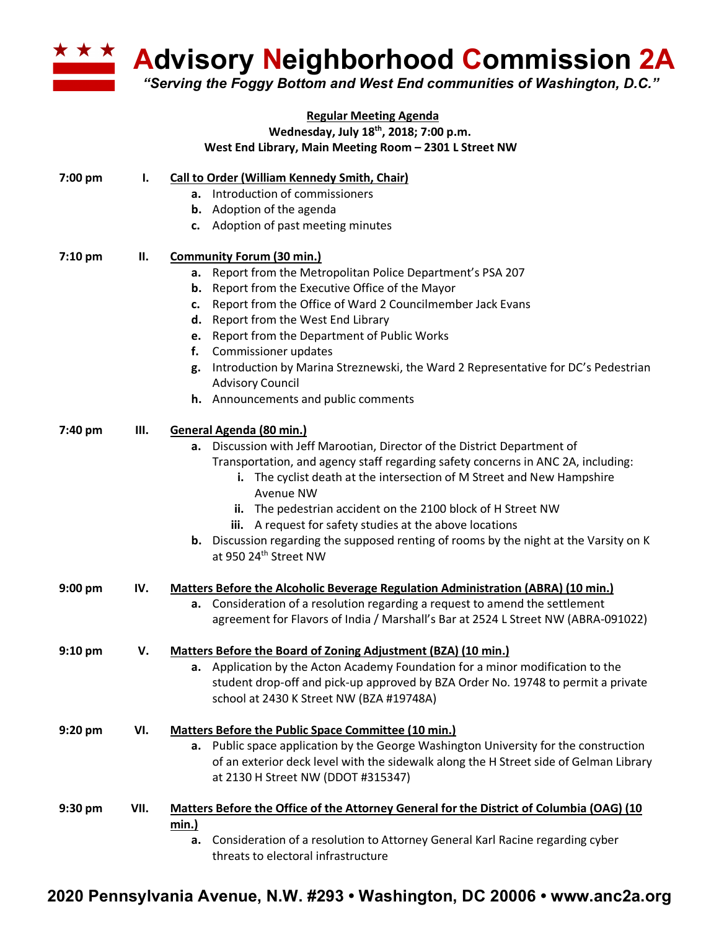

**A Advisory Neighborhood Commission 2A** 

*"Serving the Foggy Bottom and West End communities of Washington, D.C."*

## **Regular Meeting Agenda Wednesday, July 18th, 2018; 7:00 p.m.**

|           |      | West End Library, Main Meeting Room - 2301 L Street NW                                        |
|-----------|------|-----------------------------------------------------------------------------------------------|
| 7:00 pm   | ı.   | <b>Call to Order (William Kennedy Smith, Chair)</b>                                           |
|           |      | a. Introduction of commissioners                                                              |
|           |      | <b>b.</b> Adoption of the agenda                                                              |
|           |      | c. Adoption of past meeting minutes                                                           |
| 7:10 pm   | Н.   | <b>Community Forum (30 min.)</b>                                                              |
|           |      | Report from the Metropolitan Police Department's PSA 207<br>а.                                |
|           |      | <b>b.</b> Report from the Executive Office of the Mayor                                       |
|           |      | Report from the Office of Ward 2 Councilmember Jack Evans<br>c.                               |
|           |      | d. Report from the West End Library                                                           |
|           |      | e. Report from the Department of Public Works                                                 |
|           |      | Commissioner updates<br>f.                                                                    |
|           |      | Introduction by Marina Streznewski, the Ward 2 Representative for DC's Pedestrian<br>g.       |
|           |      | <b>Advisory Council</b>                                                                       |
|           |      | h. Announcements and public comments                                                          |
| 7:40 pm   | Ш.   | General Agenda (80 min.)                                                                      |
|           |      | a. Discussion with Jeff Marootian, Director of the District Department of                     |
|           |      | Transportation, and agency staff regarding safety concerns in ANC 2A, including:              |
|           |      | i. The cyclist death at the intersection of M Street and New Hampshire                        |
|           |      | <b>Avenue NW</b>                                                                              |
|           |      | ii. The pedestrian accident on the 2100 block of H Street NW                                  |
|           |      | iii. A request for safety studies at the above locations                                      |
|           |      | <b>b.</b> Discussion regarding the supposed renting of rooms by the night at the Varsity on K |
|           |      | at 950 24th Street NW                                                                         |
| $9:00$ pm | IV.  | <b>Matters Before the Alcoholic Beverage Regulation Administration (ABRA) (10 min.)</b>       |
|           |      | Consideration of a resolution regarding a request to amend the settlement<br>а.               |
|           |      | agreement for Flavors of India / Marshall's Bar at 2524 L Street NW (ABRA-091022)             |
| $9:10$ pm | V.   | Matters Before the Board of Zoning Adjustment (BZA) (10 min.)                                 |
|           |      | a. Application by the Acton Academy Foundation for a minor modification to the                |
|           |      | student drop-off and pick-up approved by BZA Order No. 19748 to permit a private              |
|           |      | school at 2430 K Street NW (BZA #19748A)                                                      |
| 9:20 pm   | VI.  | Matters Before the Public Space Committee (10 min.)                                           |
|           |      | a. Public space application by the George Washington University for the construction          |
|           |      | of an exterior deck level with the sidewalk along the H Street side of Gelman Library         |
|           |      | at 2130 H Street NW (DDOT #315347)                                                            |
| 9:30 pm   | VII. | Matters Before the Office of the Attorney General for the District of Columbia (OAG) (10      |
|           |      | <u>min.)</u>                                                                                  |
|           |      | Consideration of a resolution to Attorney General Karl Racine regarding cyber<br>а.           |
|           |      | threats to electoral infrastructure                                                           |